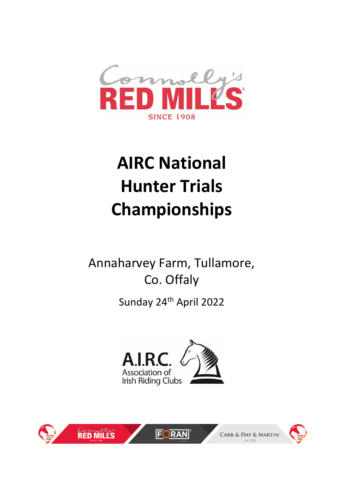

# **AIRC National Hunter Trials Championships**

Annaharvey Farm, Tullamore, Co. Offaly

Sunday 24<sup>th</sup> April 2022





**FORAN**®

CARR & DAY & MARTIN

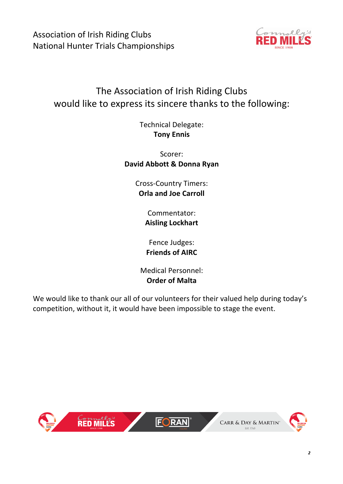Association of Irish Riding Clubs National Hunter Trials Championships



# The Association of Irish Riding Clubs would like to express its sincere thanks to the following:

Technical Delegate: **Tony Ennis**

Scorer: **David Abbott & Donna Ryan**

> Cross-Country Timers: **Orla and Joe Carroll**

> > Commentator: **Aisling Lockhart**

Fence Judges: **Friends of AIRC**

Medical Personnel: **Order of Malta**

We would like to thank our all of our volunteers for their valued help during today's competition, without it, it would have been impossible to stage the event.

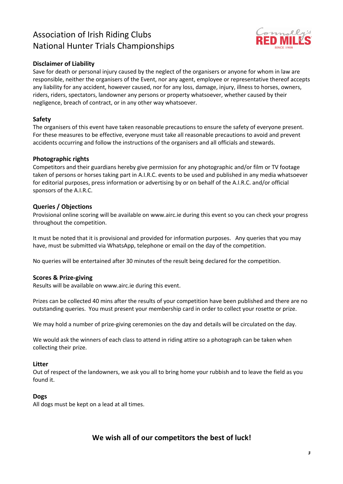## Association of Irish Riding Clubs National Hunter Trials Championships



#### **Disclaimer of Liability**

Save for death or personal injury caused by the neglect of the organisers or anyone for whom in law are responsible, neither the organisers of the Event, nor any agent, employee or representative thereof accepts any liability for any accident, however caused, nor for any loss, damage, injury, illness to horses, owners, riders, riders, spectators, landowner any persons or property whatsoever, whether caused by their negligence, breach of contract, or in any other way whatsoever.

#### **Safety**

The organisers of this event have taken reasonable precautions to ensure the safety of everyone present. For these measures to be effective, everyone must take all reasonable precautions to avoid and prevent accidents occurring and follow the instructions of the organisers and all officials and stewards.

#### **Photographic rights**

Competitors and their guardians hereby give permission for any photographic and/or film or TV footage taken of persons or horses taking part in A.I.R.C. events to be used and published in any media whatsoever for editorial purposes, press information or advertising by or on behalf of the A.I.R.C. and/or official sponsors of the A.I.R.C.

#### **Queries / Objections**

Provisional online scoring will be available on www.airc.ie during this event so you can check your progress throughout the competition.

It must be noted that it is provisional and provided for information purposes. Any queries that you may have, must be submitted via WhatsApp, telephone or email on the day of the competition.

No queries will be entertained after 30 minutes of the result being declared for the competition.

#### **Scores & Prize-giving**

Results will be available on www.airc.ie during this event.

Prizes can be collected 40 mins after the results of your competition have been published and there are no outstanding queries. You must present your membership card in order to collect your rosette or prize.

We may hold a number of prize-giving ceremonies on the day and details will be circulated on the day.

We would ask the winners of each class to attend in riding attire so a photograph can be taken when collecting their prize.

#### **Litter**

Out of respect of the landowners, we ask you all to bring home your rubbish and to leave the field as you found it.

#### **Dogs**

All dogs must be kept on a lead at all times.

#### **We wish all of our competitors the best of luck!**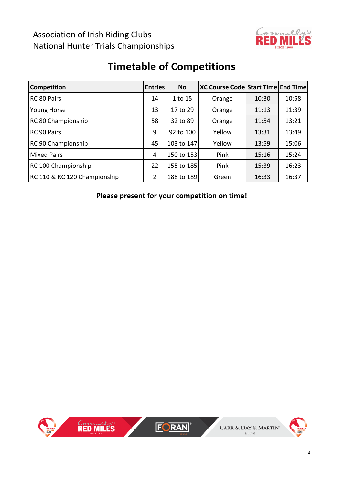## Association of Irish Riding Clubs National Hunter Trials Championships



# **Timetable of Competitions**

| <b>Competition</b>           | <b>Entries</b> | <b>No</b>  | XC Course Code Start Time End Time |       |       |
|------------------------------|----------------|------------|------------------------------------|-------|-------|
| RC 80 Pairs                  | 14             | 1 to 15    | Orange                             | 10:30 | 10:58 |
| <b>Young Horse</b>           | 13             | 17 to 29   | Orange                             | 11:13 | 11:39 |
| RC 80 Championship           | 58             | 32 to 89   | Orange                             | 11:54 | 13:21 |
| RC 90 Pairs                  |                | 92 to 100  | Yellow                             | 13:31 | 13:49 |
| RC 90 Championship           | 45             | 103 to 147 | Yellow                             | 13:59 | 15:06 |
| <b>Mixed Pairs</b>           | 4              | 150 to 153 | Pink                               | 15:16 | 15:24 |
| RC 100 Championship          | 22             | 155 to 185 | Pink                               | 15:39 | 16:23 |
| RC 110 & RC 120 Championship | $\overline{2}$ | 188 to 189 | Green                              | 16:33 | 16:37 |

**Please present for your competition on time!**

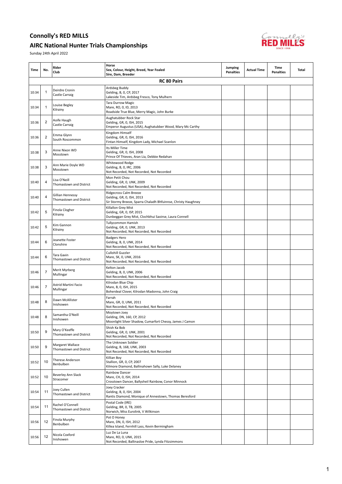#### AIRC National Hunter Trials Championships



| Time  | No.          | Rider<br>Club                               | Horse<br>Sex, Colour, Height, Breed, Year Foaled<br>Sire, Dam, Breeder                                               | Jumping<br><b>Penalties</b> | <b>Actual Time</b> | Time<br><b>Penalties</b> | <b>Total</b> |
|-------|--------------|---------------------------------------------|----------------------------------------------------------------------------------------------------------------------|-----------------------------|--------------------|--------------------------|--------------|
|       |              |                                             | <b>RC 80 Pairs</b>                                                                                                   |                             |                    |                          |              |
| 10:34 | $\mathbf{1}$ | Deirdre Cronin<br>Castle Carraig            | Ardsbeg Buddy<br>Gelding, B, O, CP, 2017<br>Lakeside Tim, Ardsbeg Fresco, Tony Mulhern                               |                             |                    |                          |              |
| 10:34 | 1            | Louise Begley<br>Kilrainy                   | <b>Tara Durrow Magic</b><br>Mare, RO, 0, ID, 2013<br>Roadside True Blue, Merry Magic, John Burke                     |                             |                    |                          |              |
| 10:36 | 2            | Aoife Haugh<br>Castle Carraig               | Aughatubber Rock Star<br>Gelding, GR, 0, ISH, 2015<br>Emperor Augustus (USA), Aughatubber Wood, Mary Mc Carthy       |                             |                    |                          |              |
| 10:36 | 2            | Emma Glynn<br>South Roscommon               | Kingdom Himself<br>Gelding, GR, 0, ISH, 2016<br>Fintan Himself, Kingdom Lady, Michael Scanlon                        |                             |                    |                          |              |
| 10:38 | 3            | Anne Nixon WD<br>Mosstown                   | Its Miller Time<br>Gelding, GR, 0, ISH, 2008<br>Prince Of Thieves, Aran Lia, Debbie Redahan                          |                             |                    |                          |              |
| 10:38 | 3            | Ann Marie Doyle WD<br>Mosstown              | Whitewood Rodge<br>Gelding, B, 0, IRC, 2006<br>Not Recorded, Not Recorded, Not Recorded                              |                             |                    |                          |              |
| 10:40 | 4            | Lisa O'Neill<br>Thomastown and District     | Mon Petit Chou<br>Gelding, GR, 0, UNK, 2009<br>Not Recorded, Not Recorded, Not Recorded                              |                             |                    |                          |              |
| 10:40 | 4            | Gillian Hennessy<br>Thomastown and District | Ridgecross Calm Breeze<br>Gelding, GR, 0, ISH, 2013<br>Sir Stormy Breeze, Sparra Chaladh Bhfuinnse, Christy Haughney |                             |                    |                          |              |
| 10:42 | 5            | Finola Clogher<br>Kilrainy                  | Killallon Grey Mist<br>Gelding, GR, 0, ISP, 2015<br>Dunbeggan Grey Mist, Clochbhui Saoirse, Laura Connell            |                             |                    |                          |              |
| 10:42 | 5            | Kim Gannon<br>Kilrainy                      | <b>Tullycommon Hamish</b><br>Gelding, GR, 0, UNK, 2013<br>Not Recorded, Not Recorded, Not Recorded                   |                             |                    |                          |              |
| 10:44 | 6            | Jeanette Foster<br>Clonshire                | <b>Badgers Hero</b><br>Gelding, B, 0, UNK, 2014<br>Not Recorded, Not Recorded, Not Recorded                          |                             |                    |                          |              |
| 10:44 | 6            | Tara Gavin<br>Thomastown and District       | Cullohill Guzzler<br>Mare, SK, 0, UNK, 2016<br>Not Recorded, Not Recorded, Not Recorded                              |                             |                    |                          |              |
| 10:46 | 7            | Merit Myrberg<br>Mullingar                  | Kelton Jacob<br>Gelding, B, 0, UNK, 2006<br>Not Recorded, Not Recorded, Not Recorded                                 |                             |                    |                          |              |
| 10:46 | 7            | Astrid Martini Facio<br>Mullingar           | Kilrodan Blue Chip<br>Mare, B, 0, ISH, 2015<br>Boherdeal Clover, Kilrodan Madonna, John Craig                        |                             |                    |                          |              |
| 10:48 | 8            | Dawn McAllister<br>Inishowen                | Farrah<br>Mare, GR, 0, UNK, 2011<br>Not Recorded, Not Recorded, Not Recorded                                         |                             |                    |                          |              |
| 10:48 | 8            | Samantha O'Neill<br>Inishowen               | Moytown Joey<br>Gelding, DN, 160, CP, 2012<br>Moonlight Silver Shadow, Cumarfort Chessy, James J Camon               |                             |                    |                          |              |
| 10:50 | 9            | Mary O'Keeffe<br>Thomastown and District    | Shish Ka Bob<br>Gelding, GR, 0, UNK, 2001<br>Not Recorded, Not Recorded, Not Recorded                                |                             |                    |                          |              |
| 10:50 | 9            | Margaret Wallace<br>Thomastown and District | The Unknown Soldier<br>Gelding, B, 168, UNK, 2003<br>Not Recorded, Not Recorded, Not Recorded                        |                             |                    |                          |              |
| 10:52 | 10           | <b>Therese Anderson</b><br>Benbulben        | Killian Boy<br>Stallion, GR, 0, CP, 2007<br>Kilmore Diamond, Ballinahown Sally, Luke Delaney                         |                             |                    |                          |              |
| 10:52 | 10           | Beverley Ann Slack<br>Stracomer             | Rainbow Dancer<br>Mare, CH, 0, ISH, 2014<br>Crosstown Dancer, Ballysheil Rainbow, Conor Minnock                      |                             |                    |                          |              |
| 10:54 | 11           | Joey Cullen<br>Thomastown and District      | Joey Cracker<br>Gelding, B, 0, ISH, 2004<br>Rantis Diamond, Monique of Annestown, Thomas Beresford                   |                             |                    |                          |              |
| 10:54 | 11           | Rachel O'Connell<br>Thomastown and District | Postal Code (IRE)<br>Gelding, BR, 0, TB, 2005<br>Norwich, Miss Eurolink, V Wilkinson                                 |                             |                    |                          |              |
| 10:56 | 12           | Finola Murphy<br>Benbulben                  | Pot O Honey<br>Mare, DN, 0, ISH, 2012<br>Killea Island, Fernhill Lass, Kevin Bermingham                              |                             |                    |                          |              |
| 10:56 | 12           | Nicola Coxford<br>Inishowen                 | Luz De La Luna<br>Mare, RO, 0, UNK, 2015<br>Not Recorded, Ballinasloe Pride, Lynda Fitzsimmons                       |                             |                    |                          |              |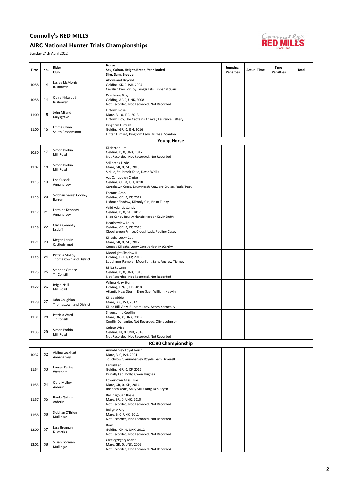#### AIRC National Hunter Trials Championships



| Time  | No. | Rider<br>Club                              | Horse<br>Sex, Colour, Height, Breed, Year Foaled<br>Sire, Dam, Breeder                                      | Jumping<br><b>Penalties</b> | <b>Actual Time</b> | Time<br><b>Penalties</b> | Total |
|-------|-----|--------------------------------------------|-------------------------------------------------------------------------------------------------------------|-----------------------------|--------------------|--------------------------|-------|
| 10:58 | 14  | Lesley McMorris<br>Inishowen               | Above and Beyond<br>Gelding, SK, 0, ISH, 2004<br>Cavalier Two For Joy, Ginger Fits, Finbar McCaul           |                             |                    |                          |       |
| 10:58 | 14  | Claire Kirkwood<br>Inishowen               | Dominoes Way<br>Gelding, AP, 0, UNK, 2008<br>Not Recorded, Not Recorded, Not Recorded                       |                             |                    |                          |       |
| 11:00 | 15  | John Miland<br>Dalysgrove                  | Firtown Rose<br>Mare, BL, 0, IRC, 2013<br>Firtown Boy, The Captains Answer, Laurence Raftery                |                             |                    |                          |       |
| 11:00 | 15  | Emma Glynn<br>South Roscommon              | Kingdom Himself<br>Gelding, GR, 0, ISH, 2016<br>Fintan Himself, Kingdom Lady, Michael Scanlon               |                             |                    |                          |       |
|       |     |                                            | <b>Young Horse</b>                                                                                          |                             |                    |                          |       |
| 10:30 | 17  | Simon Probin<br>Mill Road                  | Kiltiernan Jim<br>Gelding, B, 0, UNK, 2017<br>Not Recorded, Not Recorded, Not Recorded                      |                             |                    |                          |       |
| 11:02 | 18  | Simon Probin<br>Mill Road                  | Stillbrook Lizzie<br>Mare, GR, 0, ISH, 2018<br>Sirillio, Stillbrook Katie, David Wallis                     |                             |                    |                          |       |
| 11:13 | 19  | Lisa Cusack<br>Annaharvey                  | AJs Carrabawn Cruise<br>Gelding, CH, 0, ISH, 2018<br>Carrabawn Cross, Drumneath Antwerp Cruise, Paula Tracy |                             |                    |                          |       |
| 11:15 | 20  | Siobhan Garret Cooney<br>Burren            | Fortane Aran<br>Gelding, GR, 0, CP, 2017<br>Lishmar Shadow, Kilconly Girl, Brian Tuohy                      |                             |                    |                          |       |
| 11:17 | 21  | Lorraine Kennedy<br>Annaharvey             | Wild Atlantic Candy<br>Gelding, B, 0, ISH, 2017<br>Sligo Candy Boy, Athlantic Harper, Kevin Duffy           |                             |                    |                          |       |
| 11:19 | 22  | Olivia Connolly<br>Lisduff                 | <b>Heatherview Louis</b><br>Gelding, GR, 0, CP, 2018<br>Clooshgreen Prince, Cloosh Lady, Pauline Casey      |                             |                    |                          |       |
| 11:21 | 23  | Megan Larkin<br>Castledermot               | Killagha Lucky Cat<br>Mare, GR, 0, ISH, 2017<br>Cougar, Killagha Lucky One, Jarlath McCarthy                |                             |                    |                          |       |
| 11:23 | 24  | Patricia Molloy<br>Thomastown and District | Moonlight Shadow II<br>Gelding, GR, 0, CP, 2018<br>Loughmor Rambler, Moonlight Sally, Andrew Tierney        |                             |                    |                          |       |
| 11:25 | 25  | Stephen Greene<br><b>Tir Conaill</b>       | Ri Na Rosann<br>Gelding, B, 0, UNK, 2018<br>Not Recorded, Not Recorded, Not Recorded                        |                             |                    |                          |       |
| 11:27 | 26  | <b>Brigid Neill</b><br>Mill Road           | Wilma Hazy Storm<br>Gelding, DN, 0, CP, 2018<br>Atlantic Hazy Storm, Erne Gael, William Heavin              |                             |                    |                          |       |
| 11:29 | 27  | John Coughlan<br>Thomastown and District   | Killea Abbie<br>Mare, B, 0, ISH, 2017<br>Killea Hill View, Buncam Lady, Agnes Kenneally                     |                             |                    |                          |       |
| 11:31 | 28  | Patricia Ward<br><b>Tir Conaill</b>        | Silverspring Coolfin<br>Mare, DN, 0, UNK, 2018<br>Coolfin Dynamite, Not Recorded, Olivia Johnson            |                             |                    |                          |       |
| 11:33 | 29  | Simon Probin<br>Mill Road                  | Colour Wise<br>Gelding, PI, 0, UNK, 2018<br>Not Recorded, Not Recorded, Not Recorded                        |                             |                    |                          |       |
|       |     |                                            | <b>RC 80 Championship</b>                                                                                   |                             |                    |                          |       |
| 10:32 | 32  | Aisling Lockhart<br>Annaharvey             | Annaharvey Royal Touch<br>Mare, B, 0, ISH, 2004<br>Touchdown, Annaharvey Royale, Sam Deverell               |                             |                    |                          |       |
| 11:54 | 33  | Lauren Kerins<br>Westport                  | Lankill Lad<br>Gelding, GR, 0, CP, 2012<br>Dunally Lad, Dolly, Owen Hughes                                  |                             |                    |                          |       |
| 11:55 | 34  | Ciara Molloy<br>Arderin                    | Lowertown Miss Elsie<br>Mare, GR, 0, ISH, 2014<br>Rosheen Yeats, Sally Mills Lady, Ken Bryan                |                             |                    |                          |       |
| 11:57 | 35  | Breda Quinlan<br>Arderin                   | Ballinagough Rosie<br>Mare, BR, 0, UNK, 2010<br>Not Recorded, Not Recorded, Not Recorded                    |                             |                    |                          |       |
| 11:58 | 36  | Siobhan O'Brien<br>Mullingar               | <b>Ballyrue Sky</b><br>Mare, B, 0, UNK, 2011<br>Not Recorded, Not Recorded, Not Recorded                    |                             |                    |                          |       |
| 12:00 | 37  | Lara Brennan<br>Killcarrick                | Bow II<br>Gelding, CH, 0, UNK, 2012<br>Not Recorded, Not Recorded, Not Recorded                             |                             |                    |                          |       |
| 12:01 | 38  | Susan Gorman<br>Mullingar                  | Castlegregory Mazie<br>Mare, GR, 0, UNK, 2006<br>Not Recorded, Not Recorded, Not Recorded                   |                             |                    |                          |       |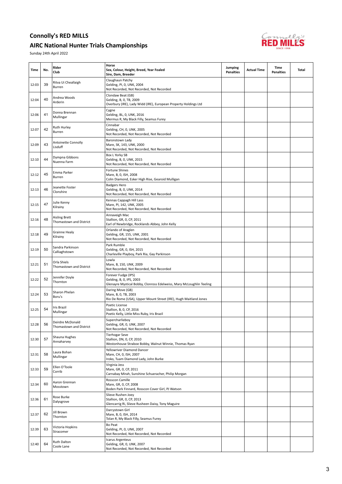#### AIRC National Hunter Trials Championships



| Time  | No. | Rider<br>Club                                   | Horse<br>Sex, Colour, Height, Breed, Year Foaled<br>Sire, Dam, Breeder                                                  | Jumping<br><b>Penalties</b> | <b>Actual Time</b> | Time<br><b>Penalties</b> | Total |
|-------|-----|-------------------------------------------------|-------------------------------------------------------------------------------------------------------------------------|-----------------------------|--------------------|--------------------------|-------|
| 12:03 | 39  | Ritva Ui Cheallaigh<br>Burren                   | Claughaun Patchy<br>Gelding, PI, 0, UNK, 2004<br>Not Recorded, Not Recorded, Not Recorded                               |                             |                    |                          |       |
| 12:04 | 40  | Andrea Woods<br>Arderin                         | Clondaw Beat (GB)<br>Gelding, B, 0, TB, 2009<br>Overbury (IRE), Lady Widd (IRE), European Property Holdings Ltd         |                             |                    |                          |       |
| 12:06 | 41  | Donna Brennan<br>Mullingar                      | Cygne<br>Gelding, BL, 0, UNK, 2016<br>Mermus R, My Black Filly, Seamus Furey                                            |                             |                    |                          |       |
| 12:07 | 42  | Ruth Hurley<br>Burren                           | Cinnabar<br>Gelding, CH, 0, UNK, 2005<br>Not Recorded, Not Recorded, Not Recorded                                       |                             |                    |                          |       |
| 12:09 | 43  | Antoinette Connolly<br>Lisduff                  | Baronstown Lady<br>Mare, SK, 143, UNK, 2000<br>Not Recorded, Not Recorded, Not Recorded                                 |                             |                    |                          |       |
| 12:10 | 44  | Dympna Gibbons<br>Nuenna Farm                   | Box L Yorky SB<br>Gelding, B, 0, UNK, 2015<br>Not Recorded, Not Recorded, Not Recorded                                  |                             |                    |                          |       |
| 12:12 | 45  | Emma Parker<br>Burren                           | <b>Fortune Shines</b><br>Mare, B, 0, ISH, 2008<br>Colin Diamond, Esker High Rise, Gearoid Mulligan                      |                             |                    |                          |       |
| 12:13 | 46  | Jeanette Foster<br>Clonshire                    | <b>Badgers Hero</b><br>Gelding, B, 0, UNK, 2014<br>Not Recorded, Not Recorded, Not Recorded                             |                             |                    |                          |       |
| 12:15 | 47  | Julie Kenny<br>Kilrainy                         | Kennas Cappagh Hill Lass<br>Mare, PI, 142, UNK, 2005<br>Not Recorded, Not Recorded, Not Recorded                        |                             |                    |                          |       |
| 12:16 | 48  | <b>Aisling Brett</b><br>Thomastown and District | Annaveigh Mac<br>Stallion, GR, 0, CP, 2011<br>Earl of Newbridge, Rocklands Abbey, John Kelly                            |                             |                    |                          |       |
| 12:18 | 49  | Grainne Healy<br>Kilrainy                       | Orlando of Araglen<br>Gelding, GR, 155, UNK, 2001<br>Not Recorded, Not Recorded, Not Recorded                           |                             |                    |                          |       |
| 12:19 | 50  | Sandra Parkinson<br>Calliaghstown               | Park Rumble<br>Gelding, GR, 0, ISH, 2015<br>Charleville Playboy, Park Ria, Gay Parkinson                                |                             |                    |                          |       |
| 12:21 | 51  | Orla Shiels<br>Thomastown and District          | Lowla<br>Mare, B, 150, UNK, 2009<br>Not Recorded, Not Recorded, Not Recorded                                            |                             |                    |                          |       |
| 12:22 | 52  | Jennifer Doyle<br>Thornton                      | Forever Fudge (IPS)<br>Gelding, B, 0, IPS, 2003<br>Glenayre Mystical Bobby, Clonross Edelweiss, Mary McLoughlin Teeling |                             |                    |                          |       |
| 12:24 | 53  | Sharon Phelan<br>Boru's                         | Daring Move (GB)<br>Mare, B, 0, TB, 2003<br>Rio De Rome (USA), Upper Mount Street (IRE), Hugh Maitland Jones            |                             |                    |                          |       |
| 12:25 | 54  | Iris Brazil<br>Mullingar                        | Poetic License<br>Stallion, B, 0, CP, 2016<br>Poetic Kelly, Little Miss Ruby, Iris Brazil                               |                             |                    |                          |       |
| 12:28 | 56  | Deirdre McDonald<br>Thomastown and District     | Supercharlieboy<br>Gelding, GR, 0, UNK, 2007<br>Not Recorded, Not Recorded, Not Recorded                                |                             |                    |                          |       |
| 12:30 | 57  | Shauna Hughes<br>Annaharvey                     | <b>Tierhogar Seve</b><br>Stallion, DN, 0, CP, 2010<br>Westonhouse Straboe Bobby, Walnut Winnie, Thomas Ryan             |                             |                    |                          |       |
| 12:31 | 58  | Laura Bohan<br>Mullingar                        | Yellowriver Diamond Dancer<br>Mare, CH, 0, ISH, 2007<br>Iroko, Tuam Diamond Lady, John Burke                            |                             |                    |                          |       |
| 12:33 | 59  | Ellen O'Toole<br>Corrib                         | Virginia Jess<br>Mare, GR, 0, CP, 2011<br>Carnabay Mirah, Sunshine Schueracher, Philip Morgan                           |                             |                    |                          |       |
| 12:34 | 60  | Aaron Grennan<br>Mosstown                       | Rosscon Camille<br>Mare, GR, 0, CP, 2008<br>Boden Park Finnard, Rosscon Cover Girl, PJ Watson                           |                             |                    |                          |       |
| 12:36 | 61  | Rose Burke<br>Dalysgrove                        | Slieve Rushen Joey<br>Stallion, GR, 0, CP, 2013<br>Glencarrig Ri, Slieve Rusheen Daisy, Tony Maguire                    |                             |                    |                          |       |
| 12:37 | 62  | Jill Brown<br>Thornton                          | Darcystown Girl<br>Mare, B, 0, ISH, 2014<br>Tolan R, My Black Filly, Seamus Furey                                       |                             |                    |                          |       |
| 12:39 | 63  | Victoria Hopkins<br>Stracomer                   | Bo Peat<br>Gelding, PI, 0, UNK, 2007<br>Not Recorded, Not Recorded, Not Recorded                                        |                             |                    |                          |       |
| 12:40 | 64  | <b>Ruth Dalton</b><br>Coole Lane                | Icarus Argenteus<br>Gelding, GR, 0, UNK, 2007<br>Not Recorded, Not Recorded, Not Recorded                               |                             |                    |                          |       |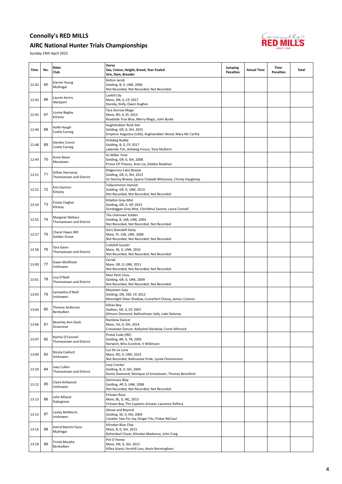#### AIRC National Hunter Trials Championships



| Time  | No. | Rider<br>Club                               | Horse<br>Sex, Colour, Height, Breed, Year Foaled<br>Sire, Dam, Breeder                                               | Jumping<br><b>Penalties</b> | <b>Actual Time</b> | Time<br><b>Penalties</b> | Total |
|-------|-----|---------------------------------------------|----------------------------------------------------------------------------------------------------------------------|-----------------------------|--------------------|--------------------------|-------|
| 12:42 | 65  | Darren Young<br>Mullingar                   | Kelton Jacob<br>Gelding, B, 0, UNK, 2006<br>Not Recorded, Not Recorded, Not Recorded                                 |                             |                    |                          |       |
| 12:43 | 66  | Lauren Kerins<br>Westport                   | Lankill Lily<br>Mare, DN, 0, CP, 2017<br>Starsky, Dolly, Owen Hughes                                                 |                             |                    |                          |       |
| 12:45 | 67  | Louise Begley<br>Kilrainy                   | <b>Tara Durrow Magic</b><br>Mare, RO, 0, ID, 2013<br>Roadside True Blue, Merry Magic, John Burke                     |                             |                    |                          |       |
| 12:46 | 68  | Aoife Haugh<br>Castle Carraig               | Aughatubber Rock Star<br>Gelding, GR, 0, ISH, 2015<br>Emperor Augustus (USA), Aughatubber Wood, Mary Mc Carthy       |                             |                    |                          |       |
| 12:48 | 69  | Deirdre Cronin<br>Castle Carraig            | Ardsbeg Buddy<br>Gelding, B, 0, CP, 2017<br>Lakeside Tim, Ardsbeg Fresco, Tony Mulhern                               |                             |                    |                          |       |
| 12:49 | 70  | Anne Nixon<br>Mosstown                      | Its Miller Time<br>Gelding, GR, 0, ISH, 2008<br>Prince Of Thieves, Aran Lia, Debbie Redahan                          |                             |                    |                          |       |
| 12:51 | 71  | Gillian Hennessy<br>Thomastown and District | Ridgecross Calm Breeze<br>Gelding, GR, 0, ISH, 2013<br>Sir Stormy Breeze, Sparra Chaladh Bhfuinnse, Christy Haughney |                             |                    |                          |       |
| 12:52 | 72  | Kim Gannon<br>Kilrainy                      | <b>Tullycommon Hamish</b><br>Gelding, GR, 0, UNK, 2013<br>Not Recorded, Not Recorded, Not Recorded                   |                             |                    |                          |       |
| 12:54 | 73  | Finola Clogher<br>Kilrainy                  | Killallon Grey Mist<br>Gelding, GR, 0, ISP, 2015<br>Dunbeggan Grey Mist, Clochbhui Saoirse, Laura Connell            |                             |                    |                          |       |
| 12:55 | 74  | Margaret Wallace<br>Thomastown and District | The Unknown Soldier<br>Gelding, B, 168, UNK, 2003<br>Not Recorded, Not Recorded, Not Recorded                        |                             |                    |                          |       |
| 12:57 | 75  | Cheryl Hayes WD<br>Golden Grove             | Gers Shanakill Daisy<br>Mare, PI, 158, UNK, 2008<br>Not Recorded, Not Recorded, Not Recorded                         |                             |                    |                          |       |
| 12:58 | 76  | Tara Gavin<br>Thomastown and District       | Cullohill Guzzler<br>Mare, SK, 0, UNK, 2016<br>Not Recorded, Not Recorded, Not Recorded                              |                             |                    |                          |       |
| 13:00 | 77  | Dawn McAllister<br>Inishowen                | Farrah<br>Mare, GR, 0, UNK, 2011<br>Not Recorded, Not Recorded, Not Recorded                                         |                             |                    |                          |       |
| 13:01 | 78  | Lisa O'Neill<br>Thomastown and District     | Mon Petit Chou<br>Gelding, GR, 0, UNK, 2009<br>Not Recorded, Not Recorded, Not Recorded                              |                             |                    |                          |       |
| 13:03 | 79  | Samantha O'Neill<br>Inishowen               | Moytown Joey<br>Gelding, DN, 160, CP, 2012<br>Moonlight Silver Shadow, Cumarfort Chessy, James J Camon               |                             |                    |                          |       |
| 13:04 | 80  | Therese Anderson<br>Benbulben               | Killian Boy<br>Stallion, GR, 0, CP, 2007<br>Kilmore Diamond, Ballinahown Sally, Luke Delaney                         |                             |                    |                          |       |
| 13:06 | 81  | Beverley Ann Slack<br>Stracomer             | Rainbow Dancer<br>Mare, CH, 0, ISH, 2014<br>Crosstown Dancer, Ballysheil Rainbow, Conor Minnock                      |                             |                    |                          |       |
| 13:07 | 82  | Rachel O'Connell<br>Thomastown and District | Postal Code (IRE)<br>Gelding, BR, 0, TB, 2005<br>Norwich, Miss Eurolink, V Wilkinson                                 |                             |                    |                          |       |
| 13:09 | 83  | Nicola Coxford<br>Inishowen                 | Luz De La Luna<br>Mare, RO, 0, UNK, 2015<br>Not Recorded, Ballinasloe Pride, Lynda Fitzsimmons                       |                             |                    |                          |       |
| 13:10 | 84  | Joey Cullen<br>Thomastown and District      | Joey Cracker<br>Gelding, B, 0, ISH, 2004<br>Rantis Diamond, Monique of Annestown, Thomas Beresford                   |                             |                    |                          |       |
| 13:12 | 85  | Claire Kirkwood<br>Inishowen                | Dominoes Way<br>Gelding, AP, 0, UNK, 2008<br>Not Recorded, Not Recorded, Not Recorded                                |                             |                    |                          |       |
| 13:13 | 86  | John Miland<br>Dalysgrove                   | Firtown Rose<br>Mare, BL, 0, IRC, 2013<br>Firtown Boy, The Captains Answer, Laurence Raftery                         |                             |                    |                          |       |
| 13:15 | 87  | Lesley McMorris<br>Inishowen                | Above and Beyond<br>Gelding, SK, 0, ISH, 2004<br>Cavalier Two For Joy, Ginger Fits, Finbar McCaul                    |                             |                    |                          |       |
| 13:16 | 88  | Astrid Martini Facio<br>Mullingar           | Kilrodan Blue Chip<br>Mare, B, 0, ISH, 2015<br>Boherdeal Clover, Kilrodan Madonna, John Craig                        |                             |                    |                          |       |
| 13:18 | 89  | Finola Murphy<br>Benbulben                  | Pot O Honey<br>Mare, DN, 0, ISH, 2012<br>Killea Island, Fernhill Lass, Kevin Bermingham                              |                             |                    |                          |       |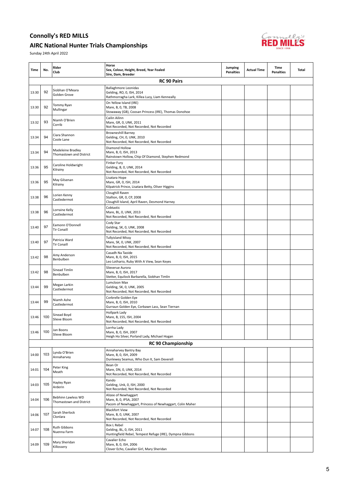#### AIRC National Hunter Trials Championships



| Time  | No. | Rider<br>Club                                 | Horse<br>Sex, Colour, Height, Breed, Year Foaled<br>Sire, Dam, Breeder                                      | Jumping<br><b>Penalties</b> | <b>Actual Time</b> | Time<br><b>Penalties</b> | Total |
|-------|-----|-----------------------------------------------|-------------------------------------------------------------------------------------------------------------|-----------------------------|--------------------|--------------------------|-------|
|       |     |                                               | <b>RC 90 Pairs</b>                                                                                          |                             |                    |                          |       |
| 13:30 | 92  | Siobhan O'Meara<br>Golden Grove               | <b>Ballaghmore Leonidas</b><br>Gelding, RO, 0, ISH, 2014<br>Rathmorragha Lark, Killea Lucy, Liam Kenneally  |                             |                    |                          |       |
| 13:30 | 92  | Tommy Ryan<br>Mullingar                       | On Yellow Island (IRE)<br>Mare, B, 0, TB, 2008<br>Stowaway (GB), Coosan Princess (IRE), Thomas Donohoe      |                             |                    |                          |       |
| 13:32 | 93  | Niamh O'Brien<br>Corrib                       | Cailin Ailinn<br>Mare, GR, 0, UNK, 2011<br>Not Recorded, Not Recorded, Not Recorded                         |                             |                    |                          |       |
| 13:34 | 94  | Ciara Shannon<br>Coole Lane                   | <b>Browneshill Barney</b><br>Gelding, CH, 0, UNK, 2010<br>Not Recorded, Not Recorded, Not Recorded          |                             |                    |                          |       |
| 13:34 | 94  | Madeleine Bradley<br>Thomastown and District  | Diamond Hollow<br>Mare, B, 0, ISH, 2013<br>Rainstown Hollow, Chip Of Diamond, Stephen Redmond               |                             |                    |                          |       |
| 13:36 | 95  | Caroline Holdwright<br>Kilrainy               | Finbar Fury<br>Gelding, B, 0, UNK, 2014<br>Not Recorded, Not Recorded, Not Recorded                         |                             |                    |                          |       |
| 13:36 | 95  | May Gilsenan<br>Kilrainy                      | Lisatara Hope<br>Mare, GR, 0, ISH, 2014<br>Kilpatrick Prince, Lisatara Betty, Oliver Higgins                |                             |                    |                          |       |
| 13:38 | 96  | Lorien Kenny<br>Castledermot                  | Cloughill Raven<br>Stallion, GR, 0, CP, 2008<br>Cloughill Island, April Raven, Desmond Harney               |                             |                    |                          |       |
| 13:38 | 96  | Lorraine Kelly<br>Castledermot                | Cobtastic<br>Mare, BL, 0, UNK, 2013<br>Not Recorded, Not Recorded, Not Recorded                             |                             |                    |                          |       |
| 13:40 | 97  | Eamonn O'Donnell<br><b>Tir Conaill</b>        | Cody Star<br>Gelding, SK, 0, UNK, 2008<br>Not Recorded, Not Recorded, Not Recorded                          |                             |                    |                          |       |
| 13:40 | 97  | Patricia Ward<br><b>Tir Conaill</b>           | <b>Tullyisland Missy</b><br>Mare, SK, 0, UNK, 2007<br>Not Recorded, Not Recorded, Not Recorded              |                             |                    |                          |       |
| 13:42 | 98  | Amy Anderson<br>Benbulben                     | Casadh Na Taoide<br>Mare, B, 0, ISH, 2015<br>Leo Lothario, Ruby With A View, Sean Keyes                     |                             |                    |                          |       |
| 13:42 | 98  | Sinead Timlin<br>Benbulben                    | Slieverue Aurora<br>Mare, B, 0, ISH, 2017<br>Stetter, Equilock Barbarella, Siobhan Timlin                   |                             |                    |                          |       |
| 13:44 | 99  | Megan Larkin<br>Castledermot                  | Lumcloon Max<br>Gelding, SK, 0, UNK, 2005<br>Not Recorded, Not Recorded, Not Recorded                       |                             |                    |                          |       |
| 13:44 | 99  | Niamh Ashe<br>Castledermot                    | Corbrelle Golden Eye<br>Mare, B, 0, ISH, 2010<br>Gurraun Golden Eye, Corbawn Lass, Sean Tiernan             |                             |                    |                          |       |
| 13:46 | 100 | Sinead Boyd<br>Slieve Bloom                   | Hollpark Lady<br>Mare, B, 155, ISH, 2004<br>Not Recorded, Not Recorded, Not Recorded                        |                             |                    |                          |       |
| 13:46 | 100 | Jan Boons<br>Slieve Bloom                     | Lorrha Lady<br>Mare, B, 0, ISH, 2007<br>Heigh Ho Silver, Porland Lady, Michael Hogan                        |                             |                    |                          |       |
|       |     |                                               | <b>RC 90 Championship</b>                                                                                   |                             |                    |                          |       |
| 14:00 | 103 | Lynda O'Brien<br>Annaharvey                   | Annaharvey Bantry Bay<br>Mare, B, 0, ISH, 2009<br>Dunlewey Seamus, Who Dun It, Sam Deverell                 |                             |                    |                          |       |
| 14:01 | 104 | Peter King<br>Meath                           | Bean Or<br>Mare, DN, 0, UNK, 2014<br>Not Recorded, Not Recorded, Not Recorded                               |                             |                    |                          |       |
| 14:03 | 105 | Hayley Ryan<br>Arderin                        | Kando<br>Gelding, Unk, 0, ISH, 2000<br>Not Recorded, Not Recorded, Not Recorded                             |                             |                    |                          |       |
| 14:04 | 106 | Bebhinn Lawless WD<br>Thomastown and District | Alizee of Newhaggart<br>Mare, B, 0, IPSA, 2007<br>Pacom of Newhaggart, Princess of Newhaggart, Colin Maher  |                             |                    |                          |       |
| 14:06 | 107 | Sarah Sherlock<br>Clonlara                    | <b>Blackfort View</b><br>Mare, B, 0, UNK, 2007<br>Not Recorded, Not Recorded, Not Recorded                  |                             |                    |                          |       |
| 14:07 | 108 | Ruth Gibbons<br>Nuenna Farm                   | <b>Box L Rebel</b><br>Gelding, BL, 0, ISH, 2011<br>Huntingfield Rebel, Tempest Refuge (IRE), Dympna Gibbons |                             |                    |                          |       |
| 14:09 | 109 | Mary Sheridan<br>Killossery                   | Cavalier Echo<br>Mare, B, 0, ISH, 2006<br>Clover Echo, Cavalier Girl, Mary Sheridan                         |                             |                    |                          |       |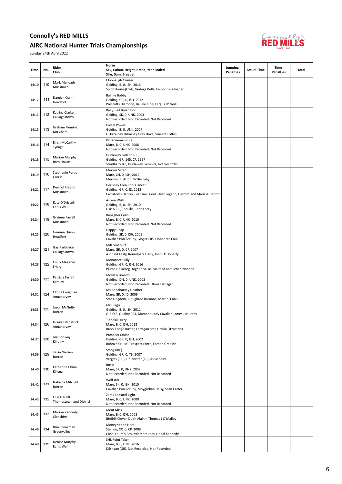#### AIRC National Hunter Trials Championships



| Time  | No. | Rider<br>Club                            | Horse<br>Sex, Colour, Height, Breed, Year Foaled<br>Sire, Dam, Breeder                                                             | Jumping<br><b>Penalties</b> | <b>Actual Time</b> | <b>Time</b><br><b>Penalties</b> | Total |
|-------|-----|------------------------------------------|------------------------------------------------------------------------------------------------------------------------------------|-----------------------------|--------------------|---------------------------------|-------|
| 14:10 | 110 | Mark Mulleady<br>Mosstown                | Cloonaugh Cruiser<br>Gelding, B, 0, ISH, 2016<br>Spirit House (USA), Vintage Belle, Eamonn Gallagher                               |                             |                    |                                 |       |
| 14:12 | 111 | Damien Quinn<br>Headfort                 | <b>Balline Bobby</b><br>Gelding, GR, 0, ISH, 2012<br>Prescotts Diamond, Balline Cloe, Fergus O' Neill                              |                             |                    |                                 |       |
| 14:13 | 112 | Katrina Clarke<br>Calliaghstown          | Ballysheil Bryan Boru<br>Gelding, SK, 0, UNK, 2003<br>Not Recorded, Not Recorded, Not Recorded                                     |                             |                    |                                 |       |
| 14:15 | 113 | <b>Graham Fleming</b><br>Mo Chara        | Diesel Power<br>Gelding, B, 0, UNK, 2007<br>Hi Kilrainey, Kilrainey Grey Dove, Vincent Loftus                                      |                             |                    |                                 |       |
| 14:16 | 114 | Eilish McCarthy<br>Tynagh                | Kilnadeema Rosie<br>Mare, B, 0, UNK, 2006<br>Not Recorded, Not Recorded, Not Recorded                                              |                             |                    |                                 |       |
| 14:18 | 115 | Marion Murphy<br>Ross House              | Dunlewey Gideon (CP)<br>Gelding, GR, 145, CP, 1997<br>Stradbally Bill, Dunlewey Genevra, Not Recorded                              |                             |                    |                                 |       |
| 14:19 | 116 | Stephanie Forde<br>Corrib                | Merlins Vixen<br>Mare, CH, 0, ISH, 2012<br>Mermus R, Afton, Willie Fahy                                                            |                             |                    |                                 |       |
| 14:21 | 117 | Dermot Hebron<br>Mosstown                | Derisney Glen Cool Dancer<br>Gelding, GR, 0, ID, 2012<br>Crosstown Dancer, Glensmill Cool Silver Legend, Dermot and Marissa Hebron |                             |                    |                                 |       |
| 14:22 | 118 | Kate O'Driscoll<br>Earl's Well           | As You Wish<br>Gelding, B, 0, ISH, 2010<br>Like A Clu, Tequilia, John Lacey                                                        |                             |                    |                                 |       |
| 14:24 | 119 | Grainne Farrell<br>Mosstown              | <b>Banagher Colin</b><br>Mare, B, 0, UNK, 2010<br>Not Recorded, Not Recorded, Not Recorded                                         |                             |                    |                                 |       |
| 14:25 | 120 | Gemma Quinn<br>Headfort                  | Happy Chap<br>Gelding, SK, 0, ISH, 2005<br>Cavalier Two For Joy, Ginger Fits, Finbar Mc Caul                                       |                             |                    |                                 |       |
| 14:27 | 121 | Gay Parkinson<br>Calliaghstown           | Millicent Surf<br>Mare, GR, 0, CP, 2007<br>Ashfield Festy, Roundpark Daisy, John O' Doherty                                        |                             |                    |                                 |       |
| 14:28 | 122 | <b>Emily Meagher</b><br>Friary           | Monanore Sully<br>Gelding, GR, 0, ISH, 2016<br>Plume De Kezeg, Togher Millie, Mairead and Senan Noonan                             |                             |                    |                                 |       |
| 14:30 | 123 | Patricia Farrell<br>Kilrainy             | Moylaw Brando<br>Gelding, DN, 0, UNK, 2008<br>Not Recorded, Not Recorded, Oliver Flanagan                                          |                             |                    |                                 |       |
| 14:31 | 124 | Cliona Coughlan<br>Annaharvey            | Ms Annaharvey Heather<br>Mare, GR, 0, ID, 2009<br>Star Kingdom, Cloughroe Rosanna, Martin Cahill                                   |                             |                    |                                 |       |
| 14:33 | 125 | Jason McNulty<br>Burren                  | Mr Diego<br>Gelding, B, 0, ISH, 2011<br>O.B.O.S. Quality 004, Diamond Lady Cavalier, James J Murphy                                |                             |                    |                                 |       |
| 14:34 | 126 | Ursula Fitzpatrick<br>Annaharvey         | <b>Tinnakill Kizzy</b><br>Mare, B, 0, ISH, 2012<br>Brock Lodge Buster, Larragan Star, Ursula Fitzpatrick                           |                             |                    |                                 |       |
| 14:37 | 128 | Joe Conway<br>Kilrainy                   | Prospect Cruise<br>Gelding, GR, 0, ISH, 2002<br>Bahrain Cruise, Prospect Force, Eamon Grealish                                     |                             |                    |                                 |       |
| 14:39 | 129 | Tessa Nielsen<br>Burren                  | Smog (IRE)<br>Gelding, GR, 0, TB, 2007<br>Verglas (IRE), Dollysister (FR), Airlie Stud                                             |                             |                    |                                 |       |
| 14:40 | 130 | Katherine Chinn<br>Killegar              | Rosie<br>Mare, SK, 0, UNK, 2007<br>Not Recorded, Not Recorded, Not Recorded                                                        |                             |                    |                                 |       |
| 14:42 | 131 | Natasha Mitchell<br>Burren               | Wolf Bitz<br>Mare, SK, 0, ISH, 2010<br>Cavalier Two For Joy, Moygrehan Daisy, Sean Carter                                          |                             |                    |                                 |       |
| 14:43 | 132 | Ellie O'Neill<br>Thomastown and District | Zaras Zodiacal Light<br>Mare, B, 0, UNK, 2008<br>Not Recorded, Not Recorded, Not Recorded                                          |                             |                    |                                 |       |
| 14:45 | 133 | Marion Kennedy<br>Clonshire              | Moat Miss<br>Mare, B, 0, ISH, 2008<br>Birdhill Clover, Dubh Alainn, Thomas J O'Malley                                              |                             |                    |                                 |       |
| 14:46 | 134 | Bria Speakman<br>Greenvalley             | Moneyribbon Hero<br>Stallion, CR, 0, CP, 2008<br>Canal Laura's Boy, Kylemore Lass, Donal Kennedy                                   |                             |                    |                                 |       |
| 14:48 | 135 | Denise Murphy<br>Earl's Well             | <b>SHL Point Taken</b><br>Mare, B, 0, UNK, 2016<br>Dilshaan (GB), Not Recorded, Not Recorded                                       |                             |                    |                                 |       |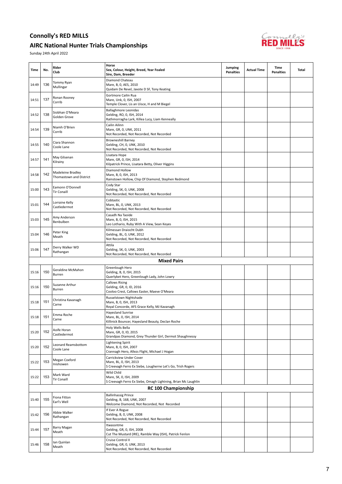#### AIRC National Hunter Trials Championships



| Time  | No. | Rider<br>Club                                | Horse<br>Sex, Colour, Height, Breed, Year Foaled<br>Sire, Dam, Breeder                                           | Jumping<br><b>Penalties</b> | <b>Actual Time</b> | Time<br><b>Penalties</b> | Total |
|-------|-----|----------------------------------------------|------------------------------------------------------------------------------------------------------------------|-----------------------------|--------------------|--------------------------|-------|
| 14:49 | 136 | Tommy Ryan<br>Mullingar                      | Diamond Chateau<br>Mare, B, 0, AES, 2010<br>Quidam De Revel, Javote D SF, Tony Keating                           |                             |                    |                          |       |
| 14:51 | 137 | Ronan Rooney<br>Corrib                       | Gortmore Cailin Rua<br>Mare, Unk, 0, ISH, 2007<br>Temple Clover, Lis an Uisce, H and M Biegel                    |                             |                    |                          |       |
| 14:52 | 138 | Siobhan O'Meara<br>Golden Grove              | Ballaghmore Leonidas<br>Gelding, RO, 0, ISH, 2014<br>Rathmorragha Lark, Killea Lucy, Liam Kenneally              |                             |                    |                          |       |
| 14:54 | 139 | Niamh O'Brien<br>Corrib                      | Cailin Ailinn<br>Mare, GR, 0, UNK, 2011<br>Not Recorded, Not Recorded, Not Recorded                              |                             |                    |                          |       |
| 14:55 | 140 | Ciara Shannon<br>Coole Lane                  | <b>Browneshill Barney</b><br>Gelding, CH, 0, UNK, 2010<br>Not Recorded, Not Recorded, Not Recorded               |                             |                    |                          |       |
| 14:57 | 141 | May Gilsenan<br>Kilrainy                     | Lisatara Hope<br>Mare, GR, 0, ISH, 2014<br>Kilpatrick Prince, Lisatara Betty, Oliver Higgins                     |                             |                    |                          |       |
| 14:58 | 142 | Madeleine Bradley<br>Thomastown and District | Diamond Hollow<br>Mare, B, 0, ISH, 2013<br>Rainstown Hollow, Chip Of Diamond, Stephen Redmond                    |                             |                    |                          |       |
| 15:00 | 143 | Eamonn O'Donnell<br><b>Tir Conaill</b>       | Cody Star<br>Gelding, SK, 0, UNK, 2008<br>Not Recorded, Not Recorded, Not Recorded                               |                             |                    |                          |       |
| 15:01 | 144 | Lorraine Kelly<br>Castledermot               | Cobtastic<br>Mare, BL, 0, UNK, 2013<br>Not Recorded, Not Recorded, Not Recorded                                  |                             |                    |                          |       |
| 15:03 | 145 | Amy Anderson<br>Benbulben                    | Casadh Na Taoide<br>Mare, B, 0, ISH, 2015<br>Leo Lothario, Ruby With A View, Sean Keyes                          |                             |                    |                          |       |
| 15:04 | 146 | Peter King<br>Meath                          | Kilmessan Draiocht Dubh<br>Gelding, BL, 0, UNK, 2012<br>Not Recorded, Not Recorded, Not Recorded                 |                             |                    |                          |       |
| 15:06 | 147 | Derry Walker WD<br>Rathangan                 | Attila<br>Gelding, SK, 0, UNK, 2003<br>Not Recorded, Not Recorded, Not Recorded                                  |                             |                    |                          |       |
|       |     |                                              | <b>Mixed Pairs</b>                                                                                               |                             |                    |                          |       |
| 15:16 | 150 | Geraldine McMahon<br>Burren                  | Greenlough Hero<br>Gelding, B, 0, ISH, 2015<br>Querlybet Hero, Greenlough Lady, John Lowry                       |                             |                    |                          |       |
| 15:16 | 150 | Suzanne Arthur<br>Burren                     | <b>Callows Rising</b><br>Gelding, GR, 0, ID, 2016<br>Cooloo Crest, Callows Easter, Maeve O'Meara                 |                             |                    |                          |       |
| 15:18 | 151 | Christina Kavanagh<br>Carne                  | Russelstown Nightshade<br>Mare, B, 0, ISH, 2013<br>Royal Concorde, AFS Grace Kelly, MJ Kavanagh                  |                             |                    |                          |       |
| 15:18 | 151 | Emma Roche<br>Carne                          | <b>Hayesland Sunrise</b><br>Mare, BL, 0, ISH, 2014<br>Killinick Bouncer, Hayesland Beauty, Declan Roche          |                             |                    |                          |       |
| 15:20 | 152 | Aoife Horan<br>Castledermot                  | Holy Wells Bella<br>Mare, GR, 0, ID, 2015<br>Grandpas Diamond, Grey Thunder Girl, Dermot Shaughnessy             |                             |                    |                          |       |
| 15:20 | 152 | Leonard Reamsbottom<br>Coole Lane            | <b>Lightening Spirit</b><br>Mare, B, 0, ISH, 2007<br>Crannagh Hero, Allezs Flight, Michael J Hogan               |                             |                    |                          |       |
| 15:22 | 153 | Megan Coxford<br>Inishowen                   | Carrickview Under Cover<br>Mare, BL, 0, ISH, 2013<br>S Creevagh Ferro Ex Siebe, Lougherne Let's Go, Trish Rogers |                             |                    |                          |       |
| 15:22 | 153 | Mark Ward<br><b>Tir Conaill</b>              | Wild Child<br>Mare, SK, 0, ISH, 2009<br>S Creevagh Ferro Ex Siebe, Omagh Lightning, Brian Mc Laughlin            |                             |                    |                          |       |
|       |     |                                              | <b>RC 100 Championship</b>                                                                                       |                             |                    |                          |       |
| 15:40 | 155 | Fiona Fitton<br>Earl's Well                  | <b>Ballinhassig Prince</b><br>Gelding, B, 168, UNK, 2007<br>Welcome Diamond, Not Recorded, Not Recorded          |                             |                    |                          |       |
| 15:42 | 156 | Abbie Walker<br>Rathangan                    | If Ever A Rogue<br>Gelding, B, 0, UNK, 2008<br>Not Recorded, Not Recorded, Not Recorded                          |                             |                    |                          |       |
| 15:44 | 157 | Barry Magan<br>Meath                         | Itwassntme<br>Gelding, GR, 0, ISH, 2008<br>Cut The Mustard (IRE), Ramble Way (ISH), Patrick Fenlon               |                             |                    |                          |       |
| 15:46 | 158 | lan Quinlan<br>Meath                         | Cruise Control II<br>Gelding, GR, 0, UNK, 2013<br>Not Recorded, Not Recorded, Not Recorded                       |                             |                    |                          |       |